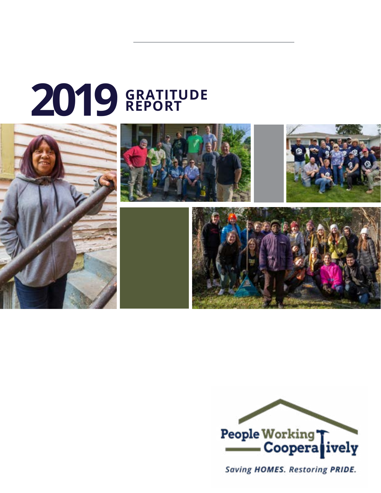# **GRATITUDE 2019 REPORT**





Saving HOMES. Restoring PRIDE.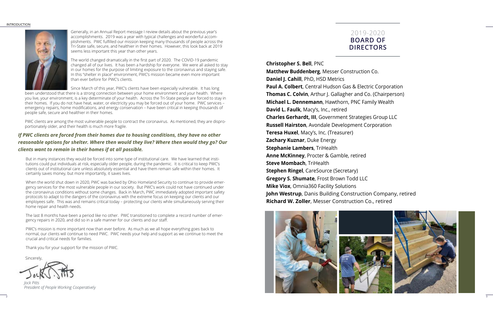#### INTRODUCTION







*Jock Pitts President of People Working Cooperatively* 

### *If PWC clients are forced from their homes due to housing conditions, they have no other reasonable options for shelter. Where then would they live? Where then would they go? Our clients want to remain in their homes if at all possible.*

Generally, in an Annual Report message I review details about the previous year's accomplishments. 2019 was a year with typical challenges and wonderful accomplishments. PWC fulfilled our mission keeping many thousands of people across the Tri-State safe, secure, and healthier in their homes. However, this look back at 2019 seems less important this year than other years.

The world changed dramatically in the first part of 2020. The COVID-19 pandemic changed all of our lives. It has been a hardship for everyone. We were all asked to stay in our homes for the purpose of limiting exposure to the coronavirus and staying safe. In this "shelter in place" environment, PWC's mission became even more important than ever before for PWC's clients.

Since March of this year, PWC's clients have been especially vulnerable. It has long

been understood that there is a strong connection between your home environment and your health. Where you live, your environment, is a key determinate of your health. Across the Tri-State people are forced to stay in their homes. If you do not have heat, water, or electricity you may be forced out of your home. PWC services – emergency repairs, home modifications, and energy conservation – have been critical in keeping thousands of people safe, secure and healthier in their homes.

PWC clients are among the most vulnerable people to contract the coronavirus. As mentioned, they are disproportionately older, and their health is much more fragile.

But in many instances they would be forced into some type of institutional care. We have learned that institutions could put individuals at risk, especially older people, during the pandemic. It is critical to keep PWC's clients out of institutional care unless absolutely essential and have them remain safe within their homes. It certainly saves money, but more importantly, it saves lives.

When the world shut down in 2020, PWC was backed by Ohio Homeland Security to continue to provide emergency services for the most vulnerable people in our society. But PWC's work could not have continued under the coronavirus conditions without some changes. Back in March, PWC immediately adopted important safety protocols to adapt to the dangers of the coronavirus with the extreme focus on keeping our clients and our employees safe. This was and remains critical today – protecting our clients while simultaneously serving their home repair and health needs.

The last 8 months have been a period like no other. PWC transitioned to complete a record number of emergency repairs in 2020, and did so in a safe manner for our clients and our staff.

PWC's mission is more important now than ever before. As much as we all hope everything goes back to normal, our clients will continue to need PWC. PWC needs your help and support as we continue to meet the crucial and critical needs for families.

Thank you for your support for the mission of PWC.

**Sincerely** 

## 2019-2020 **BOARD OF DIRECTORS**

**Christopher S. Bell**, PNC

**Matthew Buddenberg**, Messer Construction Co. **Daniel J. Cahill**, PhD, HSD Metrics **Paul A. Colbert**, Central Hudson Gas & Electric Corporation **Thomas C. Colvin**, Arthur J. Gallagher and Co. (Chairperson) **Michael L. Dennemann**, Hawthorn, PNC Family Wealth **David L. Faulk**, Macy's, Inc., retired **Charles Gerhardt, III**, Government Strategies Group LLC **Russell Hairston**, Avondale Development Corporation **Teresa Huxel**, Macy's, Inc. (Treasurer) **Zachary Kuznar**, Duke Energy **Stephanie Lambers**, TriHealth **Anne McKinney**, Procter & Gamble, retired **Steve Mombach**, TriHealth **Stephen Ringel**, CareSource (Secretary) **Gregory S. Shumate**, Frost Brown Todd LLC **Mike Viox**, Omnia360 Facility Solutions **John Westrup**, Danis Building Construction Company, retired **Richard W. Zoller**, Messer Construction Co., retired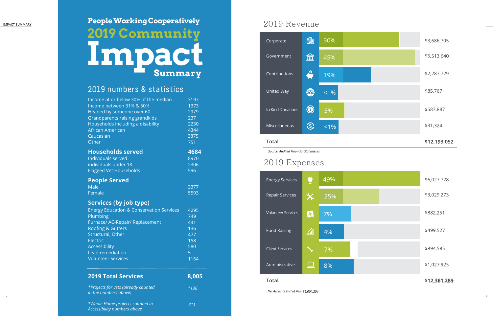$\overline{\phantom{0}}$ 

## 2019 Revenu e

*Source: Audited Financial Statements*

## 2019 Expense s



|   |                |       |  | \$12,193,052 |
|---|----------------|-------|--|--------------|
|   | $\mathfrak{D}$ | $1\%$ |  | \$31,324     |
| S | $\circledS$    | 5%    |  | \$587,887    |
|   | $\mathbb{Q}$   | $1\%$ |  | \$85,767     |
|   | $\bullet$      | 19%   |  | \$2,287,729  |
|   | 血              | 45%   |  | \$5,513,640  |
|   | 鼺              | 30%   |  | \$3,686,705  |
|   |                |       |  |              |

### **Total**

*Net Assets at End of Year \$ , 6,*



| <b>2019 Total Services</b>                          | 8,005 |
|-----------------------------------------------------|-------|
| <b>Volunteer Services</b>                           | 1164  |
| <b>Lead remediation</b>                             | 5     |
| <b>Accessibility</b>                                | 580   |
| <b>Electric</b>                                     | 158   |
| Structural, Other                                   | 477   |
| <b>Roofing &amp; Gutters</b>                        | 136   |
| Furnace/ AC-Repair/ Replacement                     | 441   |
| Plumbing                                            | 749   |
| <b>Energy Education &amp; Conservation Services</b> | 4295  |
| Services (by job type)                              |       |
| Female                                              | 5593  |
| <b>Male</b>                                         | 3377  |
| <b>People Served</b>                                |       |
|                                                     |       |
| <b>Flagged Vet Households</b>                       | 596   |
| individuals under 18                                | 2306  |
| <b>Individuals served</b>                           | 8970  |
| <b>Households served</b>                            | 4684  |
| Other                                               | 751   |
| Caucasian                                           | 3875  |
| African American                                    | 4344  |
| Households including a disability                   | 2230  |
| Grandparents raising grandkids                      | 237   |
| Headed by someone over 60                           | 2979  |
| Income between 31% & 50%                            | 1373  |
|                                                     |       |

*\*Projects for vets (already counted in the numbers above)*

*\*Whole Home projects counted in Accessibility numbers above*

 *1136*

## 2019 nu mbers & statistics

# **People Wor king Coop eratively 2019 Comm unit y Impact Summary**

 *311*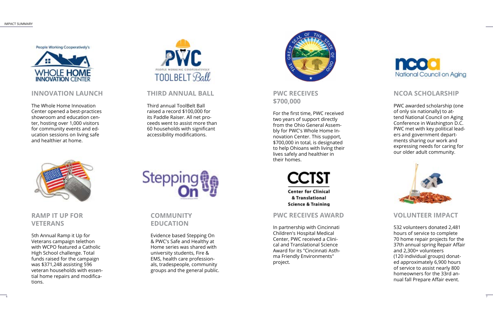## **INNOVATION LAUNCH**

The Whole Home Innovation Center opened a best-practices showroom and education center, hosting over 1,000 visitors for community events and education sessions on living safe and healthier at home.



## **THIRD ANNUAL BALL**

Third annual ToolBelt Ball raised a record \$100,000 for its Paddle Raiser. All net proceeds went to assist more than 60 households with significant accessibility modifications.



## **RAMP IT UP FOR VETERANS**

5th Annual Ramp it Up for Veterans campaign telethon with WCPO featured a Catholic High School challenge. Total funds raised for the campaign was \$371,248 assisting 596 veteran households with essential home repairs and modifications.



## **COMMUNITY EDUCATION**

Evidence based Stepping On & PWC's Safe and Healthy at Home series was shared with university students, Fire & EMS, health care professionals, tradespeople, community groups and the general public.



## **PWC RECEIVES \$700,000**

For the first time, PWC received two years of support directly from the Ohio General Assembly for PWC's Whole Home Innovation Center. This support, \$700,000 in total, is designated to help Ohioans with living their lives safely and healthier in their homes.



**Center for Clinical** & Translational **Science & Training** 

## **NCOA SCHOLARSHIP**

PWC awarded scholarship (one of only six nationally) to attend National Council on Aging Conference in Washington D.C. PWC met with key political leaders and government departments sharing our work and expressing needs for caring for our older adult community.



## **PWC RECEIVES AWARD**

In partnership with Cincinnati Children's Hospital Medical Center, PWC received a Clinical and Translational Science Award for its "Cincinnati Asthma Friendly Environments" project.



## **VOLUNTEER IMPACT**

532 volunteers donated 2,481 hours of service to complete 70 home repair projects for the 37th annual spring Repair Affair and 2,300+ volunteers (120 individual groups) donated approximately 6,900 hours of service to assist nearly 800 homeowners for the 33rd annual fall Prepare Affair event.

People Working Cooperatively's

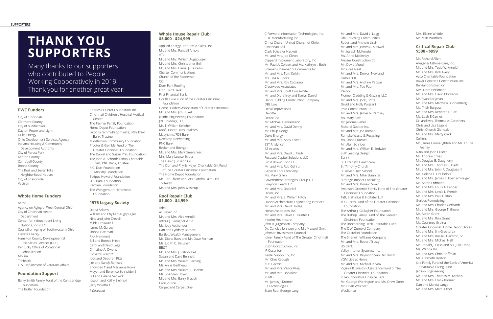# **THANK YOU SUPPORTERS**

Many thanks to our supporters who contributed to People Working Cooperatively in 2019. Thank you for another great year!

#### **PWC Funders**

City of Cincinnati Clermont County City of Middletown Dayton Power and Light Duke Energy Ohio Development Services Agency Indiana Housing & Community Development Authority City of Forest Park Kenton County Campbell County Boone County The Port and Seven Hills Neighborhood Houses City of Sharonville Vectren

#### **Whole Home Funders**

Aetna Agency on Aging of West Central Ohio City of Cincinnati Health Department Center for Independent Living Options, Inc (CILO) Council on Aging of Southwestern Ohio Elevate Energy Hamilton County Developmental Disabilities Services (DDS) Kentucky Office of Vocational Rehabilitation Molina **TriHealth** U.S. Department of Veterans Affairs

#### **Foundation Support**

Barry Smith Family Fund of the Camberidge Foundation The Butler Foundation

Charles H. Dater Foundation, Inc.

Cincinnati Children's Hospital Medical Center The Farmer Family Foundation Home Depot Foundation Jacob G. Schmidlapp Trusts, Fifth Third Bank, Trustee Middletown Community Foundation Procter & Gamble Fund of The Greater Cincinnati Foundation The Daniel and Susan Pfau Foundation The John A. Schroth Family Charitable Trust, PNC Bank, Trustee R.C. Durr Foundation SC Ministry Foundation Scripps Howard Foundation U.S. Bank Foundation Vectren Foundation The Wohlgemuth-Herschede Foundation

#### **1975 Legacy Society**

Diana Adams William and Phyllis † Augspurger Nina and John Creech Milda Croswait † James M. Garvey Donna Hartman Rick Hemmert Bill and Bonnie Hitch Carol and David Legg Christine A. Owens Richard Picard † Jock and Deborah Pitts Jim and Sandy Ramsey Snowden † and Marianne Rowe Meyer and Berenice Schneider † Bill and Helene Sedwick Joseph and Kathy Zielinski Jerry Violetta † *† Deceased*

#### **Whole House Repair Club: \$5,000 - \$24,999**

Applied Energy Products & Sales, Inc. Mr. and Mrs. Randall Arnold ATL Mr. and Mrs. William Augspurger Mr. and Mrs. Christopher Bell Mr. and Mrs. Daniel J. Castellini Charter Communications Church of the Redeemer Citi Deer Park Roofing Fifth Third Bank First Financial Bank Gorilla Glue Fund of the Greater Cincinnati Foundation Home Builders Association of Greater Cincinnati Mr. and Mrs. Jim Huxel Jacobs Engineering Foundation JRT Holdings, LLC Mr. T. William Kelleher Kopf Hunter Haas Realtors Macy's Inc./FDS Bank NextStep Networking PNC Bank Recker and Boerger Mr. and Mrs. Mark Smallsreed Mrs. Mary Louise Strutz The David J. Joseph Co. The Don and Phyllis Neyer Charitable Gift Fund of The Greater Cincinnati Foundation The Home Depot Foundation Mr. Carl Thiem and Mrs. Sandra Faith Hall **TriHealth** Mr. and Mrs. John Westrup

#### **Roof Repair Club \$1,000 - \$4,999**

Adex Al. Neyer Inc. Mr. and Mrs. Alec Arnold Arthur J. Gallagher & Co. Ms. Jody Aschendorf Dan and Lyndsey Barnett Bartlett Wealth Management Ms. Diana Bass and Mr. Dave Forman Ms. Judith C. Bausher BB&T Mr. and Mrs. J. Patrick Bell Susan and Dave Bennett Mr. and Mrs. William Berning Ms. Anne Bertheau Mr. and Mrs. William T. Boehm Ms. Shannan Boyer Mr. and Mrs. Barry Brauch CareSource Carpetland Carpet One

C-Forward Information Technologies, Inc. CHC Manufacturing Inc. Christ Church-United Church of Christ Cincinnati Bell Clark Schaefer Hackett Mr. and Mrs. Joe Cleves Clippard Instrument Laboratory, Inc Mr. Paul A. Colbert and Ms. Kathryn J. Both Colerain Chamber of Commerce Inc. Mr. and Mrs. Tom Colvin Ms. Lisa A. Coors Mr. and Mrs. Roy Cotcamp Crestwood Associates Mr. and Mrs. Scott Crosswhite Mr. and Dr. Jeffrey and Evelyn Daniel Danis Building Construction Company DBL Law Decal Impressions Deloitte Deltec Inc. Mr. Michael Dennemann Mr. and Mrs. David Denny Mr. Philip Dodge Duke Energy Mr. and Mrs. Andy Eisner EST Analytical EZ Access Mr. and Mrs. David L. Faulk Focused Capitol Solutions LLC Frost Brown Todd LLC Mr. and Mrs. Rob Gehrun General Tool Company Ms. Mary Gillen Government Strategies Group LLC Graydon Head LLP Mr. and Mrs. Bob Heil Hicon, Inc. Mr. and Mrs. S. William Hitch Hixson Architecture Engineering Interiors Mr. and Mrs. David Hodge Horan Associates, INC Mr. and Mrs. Oliver H. Hunter III Interim Healthcare John R. Jurgensen Company Dr. Candice Johnson and Mr. Maxwell Smith Johnson Investment Counsel Joiner Family Fund of The Greater Cincinnati Foundation Jostin Construction, Inc. JP Ossenfort Keidel Supply Co., Inc. Mr. Chet Keough KEP Electric Mr. and Mrs. Vance King Mr. and Mrs. Bob Kline KPMG Mr. James J. Kromer L3 Technologies State Rep. George Lang

Mr. and Mrs. David L. Legg Life Enriching Communities Robert and Michele Lisch Mr. and Mrs. James R. Maxwell Mr. Joseph McKenzie Ms. Anne McKinney Messer Construction Co. Mr. David Munch Mr. Greg Neal Mr. and Mrs. Derron Newland Omnia360 Mr. and Mrs. Andrew Pappas Mr. and Mrs. Ted Paul Paycor Pioneer Cladding & Glazing, LLC Mr. and Mrs. Jock J. Pitts David and Holly Poissant Prus Construction Co. Mr. and Mrs. James R. Ramsey Ms. Mary Rath Mr. Jerome Rebel Richard Goettle Inc. Mr. and Mrs. Joe Roman Rumpke Waste & Recycling Ms. Donna Russell Mr. Alan Schriber Mr. and Mrs. William E. Sedwick SHP Leading Design Sprint St. Elizabeth Healthcare St. Timothy Church St. Xavier High School Mr. and Mrs. Mike Staun, Sr. Strategic Impact Consulting Mr. and Mrs. Donald Swain Swanson-Groenke Family Fund of The Greater Cincinnati Foundation Taft, Stettinius & Hollister LLP TCG Cares Fund of the Greater Cincinnati Foundation The Arthur J. Gallagher Foundation The Bishop Family Fund of The Greater Cincinnati Foundation The Borcherding Heck Charitable Fund The C.W. Zumbiel Company The Castellini Foundation The Sherwin-Williams Company Mr. and Mrs. Robert Trusty US Bank Valley Interior Systems, Inc. Mr. and Mrs. Raymond Van Der Horst VGM Live at Home Mr. and Mrs. Michael R. Viox Virginia K. Weston Assistance Fund of The Greater Cincinnati Foundation VITAS Innovative Hospice Care Mr. George Warrington and Ms. Drew Gores Mr. Brian Weichert WesBanco

Mrs. Elaine Whittle Mr. Matt Worthen

#### **Critical Repair Club \$500 - \$999**

Mr. Richard Allen Allergy & Asthma Care, Inc. Mr. and Mrs. Todd W. Arnold Mr. and Mrs. Rick Avery Ayco Charitable Foundation Baker Concrete Construction, Inc. Bansal Construction Mrs. Nora Beckmann Mr. and Mrs. David Blocksom Mr. Ryan Borgman Mr. and Mrs. Matthew Buddenberg Ms. Trish Burgess Mr. and Mrs. Kenneth E. Carl Ms. Leah E Carnes Dr. and Mrs. Thomas A. Carothers Chris and Lisa Lagana Christ Church Glendale Mr. and Mrs. Marty Clark Colliers Mr. James Connaughton and Ms. Louise Feeney Nina and John Creech Mr. Andrew Cross Mr. Douglas B. Daugherty Mr. and Mrs. Thomas R. Dietz Mr. and Mrs. John F. Douglass III Ms. Helene L. Dreibelbis Mr. and Mrs. James P. Ebenschweiger Ms. Saren Erdmann Mr. and Mrs. Louis A. Fender Mr. and Mrs. Lewis L. French Mr. and Mrs. Paul Gaitan Gerbus Remodeling Mr. and Mrs. Charles Gerhardt Mr. and Mrs. George T. Glover Mr. Aaron Grant Mr. and Mrs. Ron Grant Ms. Courtney Grdina Greater Cincinnati Home Depot Stores Mr. and Mrs. Jim Greatorex Mr. and Mrs. Russell Hairston, Sr. Mr. and Mrs. Michael Hall Mr. Ronald J. Hicks and Ms. Julie Uhrig Ms. Wanda Hill Mr. and Mrs. Chris Hoffman Ms. Elizabeth Horton Jarc Family Fund of the Bank of America Charitable Giving Fund Jedson Engineering Mr. and Mrs. Thomas M. Keckeis Mr. and Mrs. Frank Kromer Dan and Marcia Lange Mr. and Mrs. Matt Luther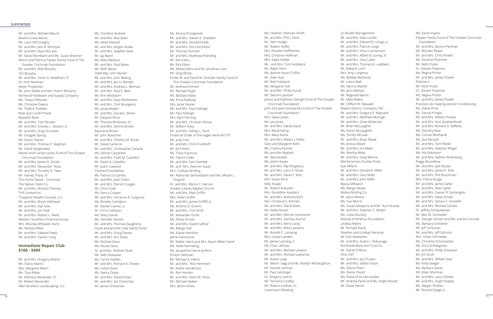#### SUPPORTERS

Mr. and Mrs. Michael Mauch Maxim Crane Works Ms. Lauri McConaghy Mr. and Mrs. Jere R. McIntyre Mr. and Mrs. Ryan McLane Mr. Steve Mombach and Ms. Susan Brenner Morris and Patricia Passer Family Fund of The Greater Cincinnati Foundation Mr. and Mrs. Bob Murphy Tim Murphy Mr. and Mrs. Victor A. Needham, III Dr. Nick Newman Neyer Properties Mr. John Noble and Mrs. Karen McGarry Norwood Hardware and Supply Company Ms. Tanya O'Rourke Ms. Christine Owens Mr. Todd A. Poellein Matt and Lorelli Privett Republic Bank Mr. and Mrs. Tom Rinckel Mr. and Mrs. Charles L. Session, Jr. Mr. and Mrs. Greg Shumate Mr. Douglas Spring Ms. Karen Statzer Mr. and Mrs. Thomas E. Stegman Mr. David Steigerwald Steven and Carolyn Jones Fund of The Greater Cincinnati Foundation Mr. and Mrs. James R. Stickle Mr. and Mrs. Alexander Teass Mr. and Mrs. Timothy N. Tepe Mr. Harvey Tharp, III The Home Depot - Cincinnati The Nelson Stark Co. Mr. and Mrs. Richard Thomas THP Limited Inc. Truepoint Wealth Counsel, LLC Mr. and Mrs. Bryan Vielhauer Mr. and Mrs. Dan Viox Mr. and Mrs. Jon Voet Mr. and Mrs. Robert L. Wells Western Southern Financial Group Mrs. Rhonda Whitaker-Hurtt Ms. Melissa Witte Mr. and Mrs. Edward Yates Mr. and Mrs. Darwin Yung **Immediate Repair Club** 

## **\$100 - \$499**

Mr. and Mrs. Gregory Adams Ms. Diana Adams Mrs. Margaret Albert Ms. Tara Aldea Mr. Anthony Alexander, Sr. Mr. Robert Alexander Allen Brothers Landscaping, LLC Ms. Christine Andrew

Mr. and Mrs. Bob Askin Ms. Heidi Atwood Mr. and Mrs. Angelo Audia Mr. and Mrs. Stephen Avila Mr. Jay Baird Ms. Mary Barbour Mr. and Mrs. Paul Bates Ms. Beth Bauer State Rep. John Becker Mr. and Mrs. John Beiting Mr. and Mrs. Jon H. Bender Mr. and Mrs. Andrew L. Berman Mr. and Mrs. Paul E. Betz Ms. Ann Blocksom Mr. and Mrs. Gary Bockelman Mr. and Mrs. Clint Bourgeois Ms. Janae Boyles Mr. and Mrs. Gerald J. Breen Mr. Daquon Brice Mr. Thomas Brinkman, Sr. Mr. and Mrs. Dennis Brown Raymond Brown Mr. John Buescher Mr. and Mrs. Timothy M. Burke Mr. David Cameron Mr. and Mrs. Christopher Canarie Ms. Denise Carpenter Mr. and Mrs. Todd M. Castellini Mr. David A. Castellini Mr. Justin Cawood Chemed Foundation Ms. Patricia Ciccarella Mr. and Mrs. Josh Colvin Mr. and Mrs. Patrick Coogan Mr. Chris Cook Ms. Nancy Cooper Mr. and Mrs. Terrence R. Cosgrove Ms. Rosella Covington Mr. Daniel Cramer, Jr. Dr. Chris Cubbison Ms. Mary Daniel Ms. Danielle Daniels Mr. and Mrs. Thomas Daugherty David and Jennifer Liles Family Fund Mr. and Mrs. Doug Davies Mr. and Mrs. Kris Davis Ms. Nichole Davis Ms. Nicole Davis Dr. and Mrs. Andrew Deak Ms. Sally Dessauer Ms. Carrie Didden Mr. and Mrs. Richard A. Dineen Ms. Leslie Dixon Ms. Nancy Doyle Mr. and Mrs. David Drees Mr. and Mrs. Joe Dressman Mr. James Dressman

Ms. Emma Drongowski Mr. and Mrs. Steven E. Duebber Mr. and Mrs. Donald Dufek Mr. and Mrs. Kirk Durchholz Mr. Thomas Durham Mr. and Mrs. Matthew Ehlerding Mr. Ken Eilers Mr. Rick Eilers Ms. Kelsey Eilers and Mr. Jonathan Lynn Mr. Greg Eiting Emilie W. and David W. Dressler Family Fund of The Greater Cincinnati Foundation Mr. Andrew Emmert Mr. Michael Engel Ms. Barbara Estes Ms. Erica Faaborg Mrs. Janet Fassler Mr. and Mrs. Paul Fellinger Mr. Paul Fellinger Mrs. April Fleming Mr. and Mrs. Christian Florea Mr. William Foley Mr. and Mrs. Ashley L. Ford Fraternal Order of the Eagles Aerie #2197 Ms. Judy Frey Mr. and Mrs. Chris Friedhoff Mr. Ed Fritsch Ms. Tracy Fujimura Mr. Patrick Fuller Mr. and Mrs. Sam Gamble Mr. and Mrs. Desmon Gault Mrs. Lindsay Gerding Mr. Alphonse Gerhardstein and Ms. Miriam J. Gingold Dr. and Mrs. Myron C. Gerson Greater Liberty Baptist Church Mr. and Mrs. Matt Griffin Mrs. Helen Griffin Mr. and Mrs. James Griffith Jr. Ms. Kristina G. Grimm Mr. and Mrs. Tom Groll Mr. Alexander Grote Ms. Diana Grover Mr. and Mrs. David Haffner Ms. Margo Hall Ms. Elaine Hamilton Jaime Hammond Mr. Walter Hand and Mrs. Karen Miller-Hand Ms. Heidi Harmeling Ms. Jacqueline Harris-Jenkins Kristyn Hartman Mr. Michael A. Hecht Mr. and Mrs. Rick Hemmert Mr. Andre Henderson Mr. Ron Henlein Mr. and Mrs. Kevin W. Hicks Mr. Michael Hieber Mrs. Bonni Hines

Ms. Heather Hiteman-Smith Mr. and Mrs. Phil J. Hock Mr. Seth Hodge Mr. Robert Hoffer Mrs. Florette Hoffheimer Mrs. Christine Hoffman Mrs. Kayla Holder Mr. and Mrs. Tom Holubeck Mr. Ralph Horn Ms. Jeanne Houck Trifilio Mr. Dale Hoyt Mr. Rob Hubbard Ms. Margaret Hull Mr. and Mrs. Philip Hurak Mr. DeVohn Jackson James and Kathleen Stengel Fund of The Greater Cincinnati Foundation John and Jane Domaschko Fund of The Greater Cincinnati Foundation Mrs. Gwen Jones Ms. Jan Jones Mr. and Mrs. Daniel Joyce Mrs. Randi Kamp Mrs. Mary Kartal Mr. and Mrs. Robert J. Keller Gary and Margaret Kelm Ms. Cristina Kenner Ms. Jennifer Kephart Mr. Skip Kessler Ms. JoAnn Keyes Mr. and Mrs. Ray Kingsbury Mr. and Mrs. Larry E. Kissel Mr. and Mrs. David F. Kitts Mrs. Vivian Kline Kelly Knapp Mr. Robert Kneuven Mrs. Geraldine Koesters Mr. and Mrs. Anthony Kohl Mrs. Christina S. Kohnen Mr. and Mrs. Darrel Kokx Ms. Kathy Koster Mr. and Mrs. Werner Kummerle Mr. and Mrs. Zachary Kuznar Mr. and Mrs. Kerry Lacey Mr. and Mrs. Mike Lambers Mr. Ronald C. Lamping Mrs. Louise Landen Mr. James Lanning, II Ms. Cher Lathrop Mr. and Mrs. Michael Lavatori Mr. and Mrs. Michael Lawrence Mr. Austin Leap Mr. Martin Legg and Ms. Marilyn McNaughton Mr. Everett Lehman Mr. Paul Leitzinger Dr. Gregory Levens Mr. Terrance Lindley Mr. Robert Lindner, Sr. Listermann Brewing

LJI Wealth Management Mr. and Mrs. Nate Locker Mr. and Mrs. Edward D. Longo, Jr. Mr. and Mrs. Patrick Longo Mr. and Mrs. Vince Lonnemann Mr. and Mrs. Albert B. Loving, III Mr. and Mrs. Gary Lubin Mr. and Mrs. Thomas A. Luebbers Mr. Edward Luhn Mrs. Amy Lungmus Ms. Bobbie Mahaney Mr. Lance Mall Ms. Norma Mallott Ms. Jenn Markus Mr. Reginald Martin Mr. Mike Mattis Mr. Clifford W. Maxwell Mayers Electric Company, INC. Mr. and Mrs. Gregory R. Maynard Mr. and Mrs. Matthew McHugh Mr. and Mrs. Drew McKenzie Mr. Brian McLaughlin Ms. Karen McLaughlin Ms. Shirley McLean Mr. and Mrs. Brian Mead Ms. Jessica Mead Mr. and Mrs. Jim Meier Ms. Martha Miele Mr. and Mrs. Greg Menne Mid-American Gunlite Pools Sue Millard Mr. and Mrs. Donald K. Miller Mr. and Mrs. Gary Miller Mr. and Mrs. John Miller Alyssa Millward Ms. Margo Moats Molloy Roofing Co. Mr. Jason Moore Ms. Sue Morris Ms. Susan Mospens and Mr. Kurt Nicaise Mr. and Mrs. Stephen C. Mullen Ms. Linda Murphy Mutual of America Foundation Lindsay Myers Mr. Richard Nault Stephen and Lindsey Necamp Mr. Earl Newsome Mr. and Mrs. Austin I. Nobunaga Northside Bank and Trust Co. Mr. Daniel O'Brien Ohio CAT Mr. and Mrs. Jay O'Leary Mr. and Mrs. Stefan Olson Ms. Gloria Olson Ms. Elaine Olund Ms. Paola Ortiz-Hernandez Mr. Andrew Pardi and Ms. Angie Woods Mr. Steve Parrot

Ms. Karen Payne Pepper Family Fund of The Greater Cincinnati Foundation Mr. and Mrs. Burton Perlman Mr. Michael Pieper Mr. and Mrs. Chris Pinello Ms. Darlene Plummer Mr. Keith Poole Dr. Darwin Popenoe Ms. Regina Porter Mr. and Mrs. James Powell Pole/zero Mr. Keith Poole Dr. Darwin Popenoe Ms. Regina Porter Mr. and Mrs. James Powell Precision Air Heating and Air Conditioning Ms. Elaine Price Mr. Garret Pringle Mr. and Mrs. Willets Prosser Mr. and Mrs. Kurt Quackenbush Mr. and Mrs. Richard D. Rafferty Ms. Dorothy Reel Ms. Connie Reinhardt Ms. Sue Renard Mr. and Mrs. Tom Riedel Mr. and Mrs. Stephen Ringel Ms. Alis Robinson Mr. and Mrs. Nathan Rosenberg Peggy Roundtree Mr. and Mrs. Jack Rouse Mr. and Mrs. James P. Rulli Mr. and Mrs. Phil Ruschman Mrs. Polina Ruuge Mr. and Mrs. James Salter Mr. and Mrs. Matt Salzer Mr. and Mrs. Caesar R. Santangelo Mr. and Mrs. Steve Schad Mr. and Mrs. Steven E. Schaefer Mr. and Mrs. Michael Schaltz Dr. Jeffrey Schlaudecker Mr. Ben W. Schneider Mr. George Schoen and Ms. Joanne Conradi Ms. Barbara Schoener Mr. Jeff Schlosser Mr. and Mrs. Jeff Schrock Mrs. Vivian Schroeder Ms. Christine Schumacher Ms. Erica Schwegman Mr. and Mrs. Philip Schworer Mr. Jim Scott Mr. and Mrs. William Seal Mr. Kody Seeger Ms. Barbara Seiver Ms. Jillian Sherman Mr. and Mrs. Larry Shields Mr. and Mrs. Hugh Shipley Ms. Megan Sholtes Mr. Richard Siegel, Jr.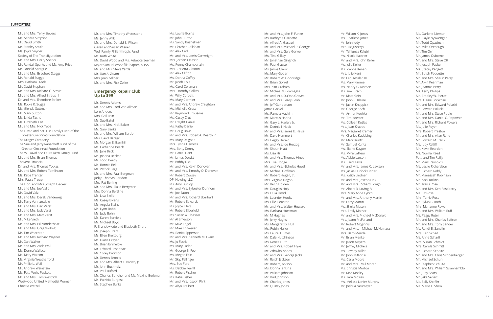#### SUPPORTERS

Mr. and Mrs. Terry Sievers Ms. Sandra Simpson Mr. David Smith Mr. Stanley Smith Ms. Joyce Snyder Society of The Transfiguration Mr. and Mrs. Harry Sparks Mr. Randall Sparks and Ms. Amy Price Mr. Donald Sprague Mr. and Mrs. Bradford Staggs Mr. Ronald Staggs Mrs. Barbara Steele Mr. David Stephan Mr. and Mrs. Richard G. Stevie Mr. and Mrs. Alfred Straus III Dr. and Mrs. Theodore Striker Ms. Robie K. Suggs Ms. Glenda Suttman Mr. Mark Sutton Ms. Linda Tache Ms. Elizabeth Tait Mr. and Mrs. Nick Tepe The David and Kari Ellis Family Fund of the Greater Cincinnati Foundation The Kroger Company The Sue and Jerry Ransohoff Fund of the Greater Cincinnati Foundation The W. David and Laura Kern Family Fund Mr. and Mrs. Brian Thomas Thrivent Financial Dr. and Mrs. Thomas Tobias Mr. and Mrs. Robert Tomlinson Ms. Katie Tranter Mrs. Paula Troup The Hon. and Mrs. Joseph Uecker Mr. and Mrs. Joe Vallo Mr. David Valz Mr. and Mrs. Derek Vandeweg Mr. Terry Vannarsdale Mr. and Mrs. Dan Verst Mr. and Mrs. Jack Verst Mr. and Mrs. Matt Verst Mr. Mike Vieth Mr. and Mrs. Bill Vonderhaar Mr. and Mrs. Greg Vorholt Mr. Tim Waechter Mr. and Mrs. Richard Wagner Mr. Dan Walker Mr. and Mrs. Zach Wall Ms. Donna Wallace Ms. Mary Watson Ms. Virginia Weatherford Mr. Philip L. Weil Mr. Andrew Weinstein Ms. Patti Wells-Puckett Mr. and Mrs. Tom Westrich Westwood United Methodist Women Christie Wetzel

Mr. and Mrs. Timothy Whitestone Ms. Jenny Wilk Mr. and Mrs. Donald E. Wilson Garen and Susan Wisner Wolf Family Philanthropic Fund Ms. Ruth Wolfe Mr. David Wood and Ms. Rebecca Seeman Major Samuel Woodfill Chapter, AUSA Mr. and Mrs. Steve Yards Mr. Dan A. Zavon Mrs. Joan Zellner Mr. and Mrs. Rick Zoller

#### **Emergency Repair Club Up to \$99**

Mr. Dennis Adams Mr. and Mrs. Fred Von Allmen Lore Anders Mrs. Gail Bain Ms. Sue Baird Mr. and Mrs. Nick Balzer Mr. Gary Banks Mr. and Mrs. WIlliam Bardo Mrs. Carol Barger Mr. Morgan E. Barnhill Ms. Catherine Beach Ms. Julie Beck Ms. Joanna Becker Mr. Todd Beeby Ms. Bonnie Bell Mr. Patrick Berg Mr. and Mrs. Paul Bergman Judge Thomas Beridon Mrs. Pat Berling Mr. and Mrs. Blake Berryman Mrs. Donna Bertline Ms. Lisa Biello Ms. Casey Bivens Ms. Angela Blaine Ms. Lynn Bobb Ms. Judy Bohn Ms. Karen Bonfield Mr. Michael Boyd R. Brandewiede and Elizabeth Short Mr. Joseph Brant Ms. Ellen Breitburg Ms. Diane Breyer Mr. Brian Brimelow Mr. Edward Broadnax Mr. Corey Bronson Mr. Dennis Brooks Mr. and Mrs. Albert L. Brown, Jr. Mr. John Buchholz Mr. Paul Buford Mr. Charles Buncher and Ms. Maxine Berkman Ms. Patricia Burgess Mr. Stephen Burke

Ms. Laurie Burns Mr. John Burton Ms. Sandy Bushelman Mr. Fletcher Callahan Mr. Alex Carl Mr. and Mrs. Lewis Cartwright Mrs. Jordan Celestin Ms. Penny Chamberlain Mrs. Carletta Claxton Mr. Alex Clifton Ms. Donna Coffey Mr. Jacob Cole Ms. Carol Coleman Mrs. Dorothy Collins Mr. Willy Corbett Ms. Mary Cormier Mr. and Mrs. Andrew Creighton Ms. Michelle Cross Mr. Raymond Crousore Ms. Casey Cruz Mr. Dwight Daniel Ms. Kathy Daniel Mr. Doug Davis Mr. and Mrs. Robert A. Dearth Jr. Ms. Mary Delgado Mrs. Lynne Demoss Mrs. Betty Denny Mr. Daniel Dent Mr. James Dewitt Mr. Bobby Dick Mr. and Mrs. Kevin Donovan Mr. and Mrs. Timothy O. Donovan Mr. Robert Dorsey DPI Holding LLC Ms. Amy Dunlop Mr. and Mrs. Sylvester Dunnom Mr. Joe Eaton Mr. and Mrs. Richard Eberhart Mr. Robert Edwards Ms. Joyce Eilers Mr. Robert Elberfeld Ms. Susan A. Elsasser Mr. Al Emerson Mr. Mike Engel Mr. Mike Enzweiler Ms. Benita Epperson Mr. and Mrs. Kenneth M. Evans Ms. Jo Facris Ms. Mary Fader Mr. George B. Fee Ms. Megan Fein Mr. Skip Fellinger Mrs. Sue Ferd Ms. Debbie Ferrill Mr. Robert Fischer Ms. Katie Fisher Mr. and Mrs. Joseph Flint Mr. Allyn Freibert

Mr. and Mrs. John F. Funke Ms. Kathryne Gardette Mr. Alfred A. Gaspari Mr. and Mrs. Michael P. George Mr. and Mrs. Gary Gerwe Ms. Tina Gilkey Mr. Jonathan Gingrich Mr. Paul Glasser Ms. Jamie Glavic Ms. Mary Godar Mr. Robert W. Goodridge Mr. Brian Gorrell Mrs. Kim Graham Mr. Michael V. Gramaglia Mr. and Mrs. DuRon Graves Mr. and Mrs. Leroy Groh Mr. Jeff Gunderson Jamie Hackel Ms. Pamela Hackim Mr. Marcus Hanna Mr. Gary L. Harlan, Jr. Mr. Dennis J. Heeb Mr. and Mrs. James E. Heisel Mr. Dave Hemmert Ms. Peggy Herald Mr. and Mrs. Joe Herzog Mr. Shaun Hiatt Ms. Lisa Hill Mr. and Mrs. Thomas Hines Mrs. Eva Hodge Mr. and Mrs. Nicholas Hoesl Mr. Michael Hoffman Mr. Robert Hogan, Jr. Mrs. Virginia Hogan Mr. Keith Holden Mr. Douglas Holy Ms. Dula Hood Mr. Leander Hooks Ms. Ellie Houston Mr. and Mrs. Walter Howard Ms. Barbara Huesman Mr. M Hughes Mr. Jerry Hughs Ms. Margaret D. Hull Ms. Robin Huller Ms. Laurel Humes Mr. Dale Hutchinson Ms. Renee Huth Mr. and Mrs. Robert Hyre Mr. Zdravko Ivanov Mr. and Mrs. George Jacks Mr. Ralph Jackson Mr. Robert Jackson Ms. Donna Jenkins Mr. William Johnson Mr. Bud Johnson Mr. Charles Jones Mr. Quincy Jones

Mr. Wilson K. Jones Ms. Charlene Jones Mr. John Judy Mrs. Liz Juszczyk Mr. Tshiunza Kalubi Ms. Nicole Kastner Mr. and Mrs. John Keller Ms. Julia Keller Ms. Joanne Kenen Mrs. Julie Kent Mr. Leo Kessler, III Ms. Mary Kimmel Ms. Nancy G. Kinman Ms. Kim Kirsch Mr. Matt Klein Mr. John R. Kleine Mr. Justin Knappick Mr. George Koch Mr. Arthur Koehler Mr. Tim Koester Ms. Colleen Kotlas Mrs. Joan Krabbe Mrs. Margaret Kramer Mr. Charles Kuebbing Mr. Mark Kuntz Mr. Samuel Kuntz Ms. Elaine Kuyper Ms. Myra LaFleur Ms. Abbie Larson Ms. Carol Laws Mr. and Mrs. James C. Lawson Ms. Jackie Hudock Linder Ms. Judith Lindner Mr. and Mrs. Joseph Link Mr. and Mrs. Richard Longo Mr. Albert B. Loving IV Mrs. Mary Anne Lynch Mr. and Mrs. Anthony Martin Mr. Larry Martin Ms. Sheila Mason Mrs. Emily Mather Mr. and Mrs. Michael McDonald Mrs. Joann McFarland Mr. Robert Mcginnis Mr. and Mrs. J. Michael McNamara Mrs. Barb Mendel Mr. Brian Menke Mr. Jason Meyers Mr. Jeffrey Michels Ms. Beverly Miller Mr. John Mitliorisi Ms. Carla Moore Mr. and Mrs. Paul Moran Ms. Christie Morton Mr. Rico Mosley Ms. Tara Mosley Ms. Melissa Lanier Murphy Mr. Joshua Neumeyer

Ms. Darlene Nieman Ms. Gayle Nyswonger Mr. Todd Opacinch Mr. Mike Orebaugh Mr. Tim Orr Mr. James Osborne Mr. and Mrs. Steve Ott Mr. Joseph Packe Ms. Stacey Padgett Mr. Butch Paquette Mr. and Mrs. Shaun Patsy Mr. Alvin Pearlman Ms. Jeannie Perry Ms. Terry Phillips Mr. Bradley W. Pierce Mrs. Elaine Pockrose Mr. and Mrs. Edward Polaski Mr. Edward Poluski Mr. and Mrs. Steve Poole Mr. and Mrs. Daniel C. Popowics Mr. and Mrs. Richard Powers Ms. Julie Poyer Mrs. Robert Preston Mr. and Mrs. Allan Rahe Mr. Edward M. Raick Ms. Judy Ratliff Mr. Kevin Reardon Ms. Norma Reed Patti and Tim Reilly Mr. Mark Reynolds Ms. Leslie Richardson Mr. Richard Riddy Mr. Manasseh Robinson Mr. Zack Rollins Mr. Travis Rosa Mr. and Mrs. Ken Roseberry Ms. Liz Rose Mrs. Terrie Ross Ms. Sylvia B. Roth Mrs. Marianne Rowe Mr. and Mrs. William Ruff Ms. Peggy Ruter Mr. and Mrs. Charles Saffron Mr. and Mrs. Tony Sander Ms. Randi B. Sandlin Mrs. Teri Schad Ms. Anne Scharff Mrs. Susan Schmidt Mrs. Carole Schmitt Mr. Richard Schnitz Mr. and Mrs. Chris Schoenberger Mr. Michael Schuh Mr. Stephen Schulte Mr. and Mrs. William Sciannamblo Ms. Judy Sears Mr. Jake Seifert Ms. Sally Shaffer Ms. Marie E. Shaw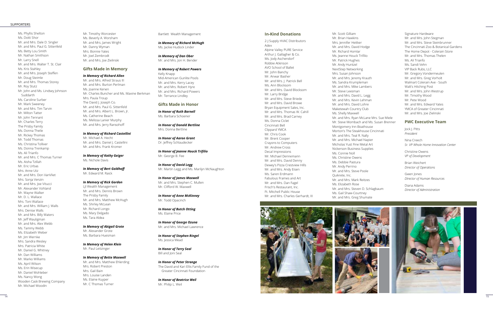

#### SUPPORTERS

Ms. Phyllis Shelton Ms. Dotti Shor Mr. and Mrs. Dale D. Singler Mr. and Mrs. Paul G. Sittenfeld Ms. Betty Lou Smith Mr. Nathan Smithson Mr. Larry Snell Mr. and Mrs. Walter T. St. Clair Ms. Kris Stahley Mr. and Mrs. Joseph Steffen Mr. Doug Steimle Mr. and Mrs. Thomas Storey Mr. Roy Stutz Mr. John and Ms. Lindsey Johnson Suddarth Ms. Caroline Surber Mr. Mark Sweeney Mr. and Mrs. Tim Tarvin Mr. Milton Tatter Mr. John Tennant Mr. Charles Terry The Prisby Family Ms. Donna Theile Mr. Rickey Thomas Mr. Todd Thomas Ms. Christina Tolliver Ms. Donna Trenkamp Ms. Ali Trianfo Mr. and Mrs. C Thomas Turner Ms. Aisha Tzillah Mr. Eric Urbas Mrs. Anne Utz Mr. and Mrs. Don VanVliet Mrs. Sonja Venzin Mr. and Mrs. Joe Vitucci Mr. Alexander Vohland Mr. Wayne Walker Mr. D. L. Wallace Mrs. Toni Wallace Mr. and Mrs. William J. Walls Mrs. Denise Walls Mr. and Mrs. Billy Waters Mr. Jeff Wauligman Mr. and Mrs. Alex Webb Ms. Tammy Webb Ms. Elizabeth Weber Mr. Jim Wernke Mrs. Sandra Wesley Mrs. Patricia White Mr. Daniel G. Whitney Mr. Dan Williams Mr. Marko Williams Ms. April Wilson Ms. Erin Wisecup Mr. Daniel Wohleber Ms. Nancy Wong Wooden Cask Brewing Company Mr. Michael Woodin

Mr. Timothy Worcester Ms. Beverly A. Worsham Mr. and Mrs. James Wright Mr. Danny Wyman Mrs. Bonnie Yates Mr. Joel Zembrodt Mr. and Mrs. Joe Zielinski

#### **Gifts Made in Memory**

*In Memory of Richard Allen* Mr. and Mrs. Alfred Straus III Mr. and Mrs. Burton Perlman Ms. Joanne Kenen Mr. Charles Buncher and Ms. Maxine Berkman Mrs. Paula Troup The David J. Joseph Co. Mr. and Mrs. Paul G. Sittenfeld Mr. and Mrs. Albert L. Brown, Jr. Ms. Catherine Beach Ms. Melissa Lanier Murphy Mr. and Mrs. Jerry Ransohoff

#### *In Memory of Richard Castellini*

Mr. Michael A. Hecht Mr. and Mrs. Daniel J. Castellini Mr. and Mrs. Frank Kromer

#### *In Memory of Kathy Geiger* Ms. Nichole Davis

#### *In Memory of Bert Goldhoff* Mr. Edward M. Raick

#### *In Memory of Rick Gordon*

LJI Wealth Management Mr. and Mrs. Dennis Brown The Prisby Family Mr. and Mrs. Matthew McHugh Ms. Shirley McLean Mr. Richard Longo Ms. Mary Delgado Ms. Tara Aldea

#### *In Memory of Abigail Grote*

Mr. Alexander Grote Ms. Barbara Huesman

#### *In Memory of Helen Klein*

Mr. Paul Leitzinger

#### *In Memory of Bette Maxwell*

Mr. and Mrs. Matthew Ehlerding Mrs. Robert Preston Mrs. Gail Bain Mrs. Louise Landen Ms. Elaine Kuyper Mr. C Thomas Turner

Bartlett Wealth Management

*In Memory of RIchard McHugh* Ms. Jackie Hudock Linder

*In Memory of Dan Ober* Mr. and Mrs. Jon H. Bender

#### *In Memory of Robert Powers*

Kelly Knapp Mid-American Gunlite Pools Mr. and Mrs. Kerry Lacey Mr. and Mrs. Robert Hyre Mr. and Mrs. Richard Powers Mr. Terrance Lindley

#### **Gifts Made in Honor**

*In Honor of Ruth Barnell* Ms. Barbara Schoener

*In Honor of Donald Bertline* Mrs. Donna Bertline

*In Honor of Aaron Grant* Dr. Jeffrey Schlaudecker

*In Honor of Jeanne Houck Trifilio* Mr. George B. Fee

*In Honor of David Legg* Mr. Martin Legg and Ms. Marilyn McNaughton

*In Honor of James Maxwell* Mr. and Mrs. Stephen C. Mullen Mr. Clifford W. Maxwell

*In Honor of Anne McKinney* Mr. Todd Opacinch

*In Honor of Butch Otting* Ms. Elaine Price

*In Honor of George Ozuna* Mr. and Mrs. Michael Lawrence

*In Honor of Stephen Ringel* Ms. Jessica Mead

*In Honor of Terry Seal* Bill and Joni Seal

*In Honor of Peter Strange* The David and Kari Ellis Family Fund of the Greater Cincinnati Foundation

*In Honor of Beatrice Weil* Mr. Philip L. Weil

#### **In-Kind Donations**

2-J Supply HVAC Distributors Adex Alpine Valley PURE Service Arthur J. Gallagher & Co. Ms. Jody Aschendorf Robbie Atkinson AVO School of Ballet Mr. John Banchy Mr. Anwar Basher Mr. and Mrs. J. Patrick Bell Ms. Ann Blocksom Mr. and Mrs. David Blocksom Mr. Larry Bridge Mr. and Mrs. Steve Briede Mr. and Mrs. David Browe Bryan Equipment Sales, Inc. Mr. and Mrs. Thomas W. Cahill Mr. and Mrs. Brad Carney Ms. Donna Ciclet Cincinnati Bell Clippard YMCA Mr. Chris Cook Mr. Brent Cooper Crayons to Computers Mr. Andrew Cross Decal Impressions Mr. Michael Dennemann Mr. and Mrs. David Denny Dewey's Pizza Crestview Hills Mr. and Mrs. Andy Eisen Ms. Saren Erdmann Fabulous Frames and Art Mr. and Mrs. Dan Fagel Frisch's Restaurant, Inc. Ft. Mitchell Public House Mr. and Mrs. Charles Gerhardt, III Mr. Scott Gilliam Mr. Brian Hawkins Mrs. Jennifer Heitker Mr. and Mrs. David Hodge Mr. Richard Homlar Ms. Jeanne Houck Trifilio Mr. Patrick Hughes Mr. Andy Huntzel NextStep Networking Mrs. Susan Johnson Mr. and Mrs. Jeremy Krauth Ms. Sandra Krumpleman Mr. and Mrs. Mike Lambers Mr. Steve Leesman Mr. and Mrs. David L. Legg Mr. and Mrs. Kevin Lehman Mr. and Mrs. David Lohre Maketewah Country Club Ms. Shelly Maxwell Mr. and Mrs. Ryan McLane Mrs. Sue Miele Mr. Steve Mombach and Ms. Susan Brenner Montgomery Inn-Boathouse Morton's The Steakhouse Cincinnati Mr. and Mrs. Teal R. Nally Mr. and Mrs. Michael Napier Micholas Yust Fine Metal Art Nickerson Business Supplies Ms. Connie Noll Ms. Christine Owens Ms. Debbie Pastura Mr. Andy Perrino Mr. and Mrs. Steve Poole Quikrete, Inc. Mr. and Mrs. Mark Reitzes Ms. Elizabeth Rose Mr. and Mrs. Steven D. Schlagbaum Ms. Gail Shaw-Courtney Mr. and Mrs. Greg Shumate

Signature Hardware Mr. and Mrs. John Stegman Mr. and Mrs. Steve Steinbrunner The Cincinnati Zoo & Botanical Gardens The Home Depot - Colerain Store Mr. and Mrs. Thomas Thelen Ms. Ali Trianfo Ms. Sandi Vehn VIP Back Rubs, LLC Mr. Gregory Vondermeulen Mr. and Mrs. Greg Vorholt Walmart Colerain Ave - South Walt's Hitching Post Mr. and Mrs. John Westrup Mr. Timothy Wood Mr. Pete Wood Mr. and Mrs. Edward Yates YMCA of Greater Cincinnati Mr. and Mrs. Joe Zielinski

#### **PWC Executive Team**

Jock J. Pitts *President*

Nina Creech *Sr. VP Whole Home Innovation Center*

Christine Owens *VP of Development*

Brian Weichert *Director of Operations*

Gwen Jones *DIrector of Human Resources*

Diana Adams *Director of Administration*